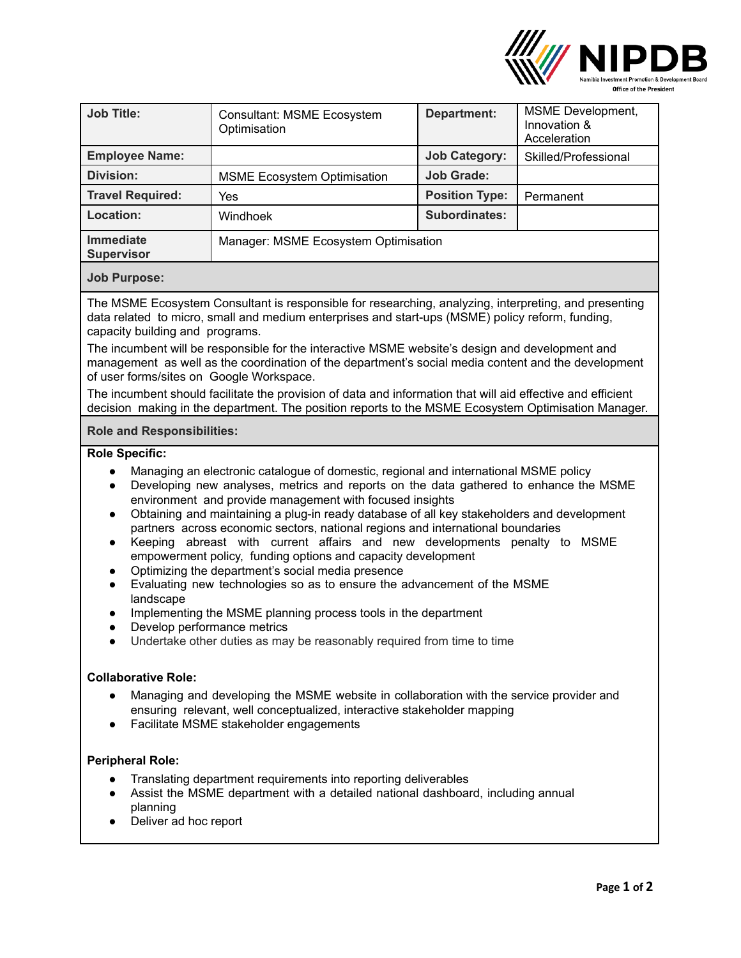

| <b>Consultant: MSME Ecosystem</b><br>Optimisation | Department:           | <b>MSME</b> Development,<br>Innovation &<br>Acceleration |
|---------------------------------------------------|-----------------------|----------------------------------------------------------|
|                                                   | <b>Job Category:</b>  | Skilled/Professional                                     |
| <b>MSME Ecosystem Optimisation</b>                | <b>Job Grade:</b>     |                                                          |
| Yes                                               | <b>Position Type:</b> | Permanent                                                |
| Windhoek                                          | <b>Subordinates:</b>  |                                                          |
| Manager: MSME Ecosystem Optimisation              |                       |                                                          |
|                                                   |                       |                                                          |

# **Job Purpose:**

The MSME Ecosystem Consultant is responsible for researching, analyzing, interpreting, and presenting data related to micro, small and medium enterprises and start-ups (MSME) policy reform, funding, capacity building and programs.

The incumbent will be responsible for the interactive MSME website's design and development and management as well as the coordination of the department's social media content and the development of user forms/sites on Google Workspace.

The incumbent should facilitate the provision of data and information that will aid effective and efficient decision making in the department. The position reports to the MSME Ecosystem Optimisation Manager.

## **Role and Responsibilities:**

**Role Specific:**

- Managing an electronic catalogue of domestic, regional and international MSME policy
- Developing new analyses, metrics and reports on the data gathered to enhance the MSME environment and provide management with focused insights
- Obtaining and maintaining a plug-in ready database of all key stakeholders and development partners across economic sectors, national regions and international boundaries
- Keeping abreast with current affairs and new developments penalty to MSME empowerment policy, funding options and capacity development
- Optimizing the department's social media presence
- Evaluating new technologies so as to ensure the advancement of the MSME landscape
- Implementing the MSME planning process tools in the department
- Develop performance metrics
- Undertake other duties as may be reasonably required from time to time

## **Collaborative Role:**

- Managing and developing the MSME website in collaboration with the service provider and ensuring relevant, well conceptualized, interactive stakeholder mapping
- Facilitate MSME stakeholder engagements

#### **Peripheral Role:**

- Translating department requirements into reporting deliverables
- Assist the MSME department with a detailed national dashboard, including annual planning
- Deliver ad hoc report